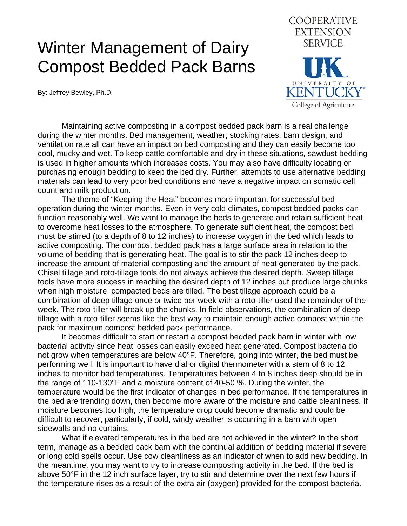## Winter Management of Dairy Compost Bedded Pack Barns

By: Jeffrey Bewley, Ph.D.



 Maintaining active composting in a compost bedded pack barn is a real challenge during the winter months. Bed management, weather, stocking rates, barn design, and ventilation rate all can have an impact on bed composting and they can easily become too cool, mucky and wet. To keep cattle comfortable and dry in these situations, sawdust bedding is used in higher amounts which increases costs. You may also have difficulty locating or purchasing enough bedding to keep the bed dry. Further, attempts to use alternative bedding materials can lead to very poor bed conditions and have a negative impact on somatic cell count and milk production.

 The theme of "Keeping the Heat" becomes more important for successful bed operation during the winter months. Even in very cold climates, compost bedded packs can function reasonably well. We want to manage the beds to generate and retain sufficient heat to overcome heat losses to the atmosphere. To generate sufficient heat, the compost bed must be stirred (to a depth of 8 to 12 inches) to increase oxygen in the bed which leads to active composting. The compost bedded pack has a large surface area in relation to the volume of bedding that is generating heat. The goal is to stir the pack 12 inches deep to increase the amount of material composting and the amount of heat generated by the pack. Chisel tillage and roto-tillage tools do not always achieve the desired depth. Sweep tillage tools have more success in reaching the desired depth of 12 inches but produce large chunks when high moisture, compacted beds are tilled. The best tillage approach could be a combination of deep tillage once or twice per week with a roto-tiller used the remainder of the week. The roto-tiller will break up the chunks. In field observations, the combination of deep tillage with a roto-tiller seems like the best way to maintain enough active compost within the pack for maximum compost bedded pack performance.

 It becomes difficult to start or restart a compost bedded pack barn in winter with low bacterial activity since heat losses can easily exceed heat generated. Compost bacteria do not grow when temperatures are below 40°F. Therefore, going into winter, the bed must be performing well. It is important to have dial or digital thermometer with a stem of 8 to 12 inches to monitor bed temperatures. Temperatures between 4 to 8 inches deep should be in the range of 110-130°F and a moisture content of 40-50 %. During the winter, the temperature would be the first indicator of changes in bed performance. If the temperatures in the bed are trending down, then become more aware of the moisture and cattle cleanliness. If moisture becomes too high, the temperature drop could become dramatic and could be difficult to recover, particularly, if cold, windy weather is occurring in a barn with open sidewalls and no curtains.

 What if elevated temperatures in the bed are not achieved in the winter? In the short term, manage as a bedded pack barn with the continual addition of bedding material if severe or long cold spells occur. Use cow cleanliness as an indicator of when to add new bedding. In the meantime, you may want to try to increase composting activity in the bed. If the bed is above 50°F in the 12 inch surface layer, try to stir and determine over the next few hours if the temperature rises as a result of the extra air (oxygen) provided for the compost bacteria.